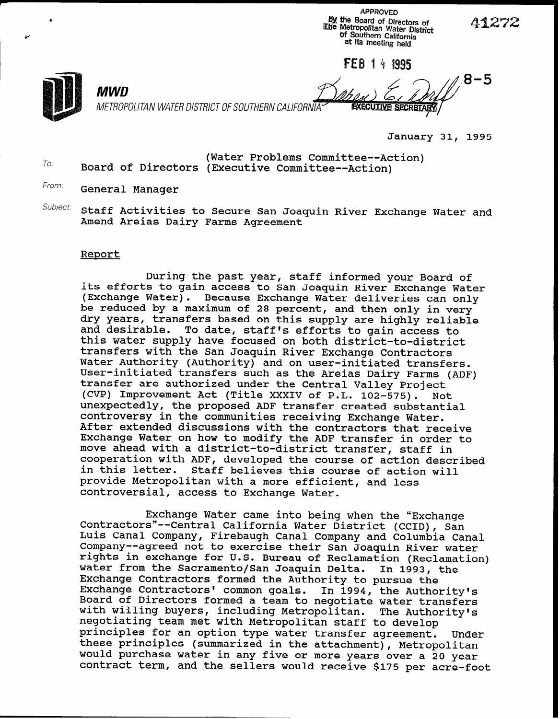APPROVED by the Board of Directors of Line Metropolitan Water District Df Southern California at its meeting held

FEB 1 4 1995

To.

MWD

8-5 METROPOLITAN WATER DISTRICT OF SOUTHERN CALIFORNIA EXECUTIVE SECRETARY

January 31, 1995

(Water Problems Committee--Action) Board of Directors (Executive Committee--Action)

From: General Manager

Subject: Staff Activities to Secure San Joaquin River Exchange Water and Amend Areias Dairy Farms Agreement

## Report

During the past year, staff informed your Board of its efforts to gain access to San Joaquin River Exchange Water (Exchange Water). Because Exchange Water deliveries can only be reduced by a maximum of 28 percent, and then only in very dry years, transfers based on this supply are highly reliable and desirable. To date, staff's efforts to gain access to this water supply have focused on both district-to-district transfers with the San Joaquin River Exchange Contractors Water Authority (Authority) and on user-initiated transfers. User-initiated transfers such as the Areias Dairy Farms (ADF) transfer are authorized under the Central Valley Project (CVP) Improvement Act (Title XXXIV of P.L. 102-575). Not unexpectedly, the proposed ADF transfer created substantial controversy in the communities receiving Exchange Water. After extended discussions with the contractors that receive Exchange Water on how to modify the ADF transfer in order to move ahead with a district-to-district transfer, staff in cooperation with ADF, developed the course of action described in this letter. Staff believes this course of action will provide Metropolitan with a more efficient, and less controversial, access to Exchange Water.

Exchange Water came into being when the "Exchange Contractors"-- Central California Water District (CCID), San Luis Canal Company, Firebaugh Canal Company and Columbia Canal Company-- agreed not to exercise their San Joaquin River water rights in exchange for U.S. Bureau of Reclamation (Reclamation) water from the Sacramento/San Joaquin Delta. In 1993, the Exchange Contractors formed the Authority to pursue the Exchange Contractors' common goals. In 1994, the Authority's Board of Directors formed a team to negotiate water transfers with willing buyers, including Metropolitan. The Authority's negotiating team met with Metropolitan staff to develop principles for an option type water transfer agreement. Under these principles (summarized in the attachment), Metropolitan would purchase water in any five or more years over a 20 year contract term, and the sellers would receive \$175 per acre-foot

41272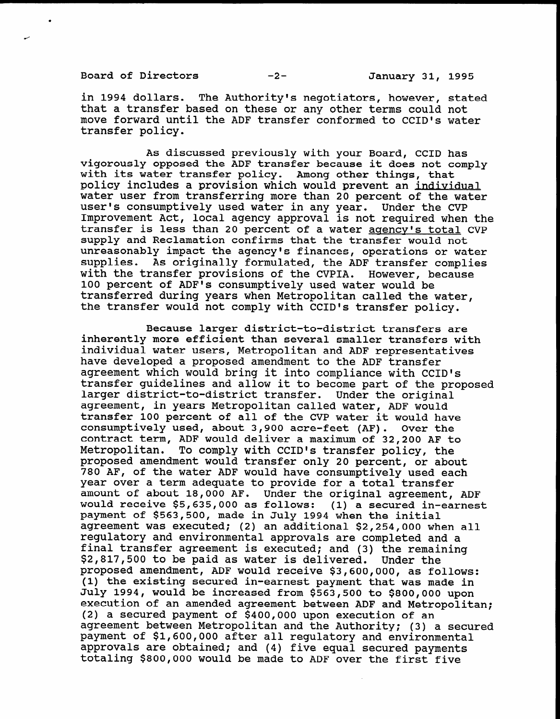Board of Directors -2- January 31, 1995

in 1994 dollars. The Authority's negotiators, however, stated that a transfer based on these or any other terms could not move forward until the ADF transfer conformed to CCID's water transfer policy.

As discussed previously with your Board, CCID has vigorously opposed the ADF transfer because it does not comply with its water transfer policy. Among other things, that policy includes a provision which would prevent an individual water user from transferring more than 20 percent of the water user's consumptively used water in any year. Under the CVP Improvement Act, local agency approval is not required when the transfer is less than 20 percent of a water agency's total CVP supply and Reclamation confirms that the transfer would not unreasonably impact the agency's finances, operations or water supplies. As originally formulated, the ADF transfer complies with the transfer provisions of the CVPIA. However, because 100 percent of ADF's consumptively used water would be transferred during years when Metropolitan called the water, the transfer would not comply with CCID's transfer policy.

Because larger district-to-district transfers are pecause iaryer ursurict-co-ursurict transfers are<br>inherently more efficient than several smaller transfers with individual water users, Metropolitan and ADF representatives have developed a proposed amendment to the ADF transfer nave developed a proposed amendment to the ADF transier agreement which would bring it into compliance with CCID's transfer quidelines and allow it to become part of the proposed larger district-to-district transfer. Under the original agreement, in years Metropolitan called water, ADF would transfer 100 percent of all of the CVP water it would have consumptively used, about 3,900 acre-feet (AF). Over the contract term, ADF would deliver a maximum of 32,200 AF to Metropolitan. To comply with CCID's transfer policy, the proposed amendment would transfer only 20 percent, or about 780 AF, of the water ADF would have consumptively used each year over a term adequate to provide for a total transfer amount of about 18,000 AF. Under the original agreement, ADF would receive  $$5,635,000$  as follows: (1) a secured in-earnest payment of \$563,500, made in July 1994 when the initial agreement was executed; (2) an additional \$2,254,000 when all regulatory and environmental approvals are completed and a final transfer agreement is executed; and (3) the remaining  $$2,817,500$  to be paid as water is delivered. Under the proposed amendment, ADF would receive \$3,600,000, as follows: (1) the existing secured in-earnest payment that was made in July 1994, would be increased from \$563,500 to \$800,000 upon execution of an amended agreement between ADF and Metropolitan; (2) a secured payment of \$400,000 upon execution of an agreement between Metropolitan and the Authority; (3) a secured payment of \$1,600,000 after all regulatory and environmental approvals are obtained; and (4) five equal secured payments<br>totaling \$800,000 would be made to ADF over the first five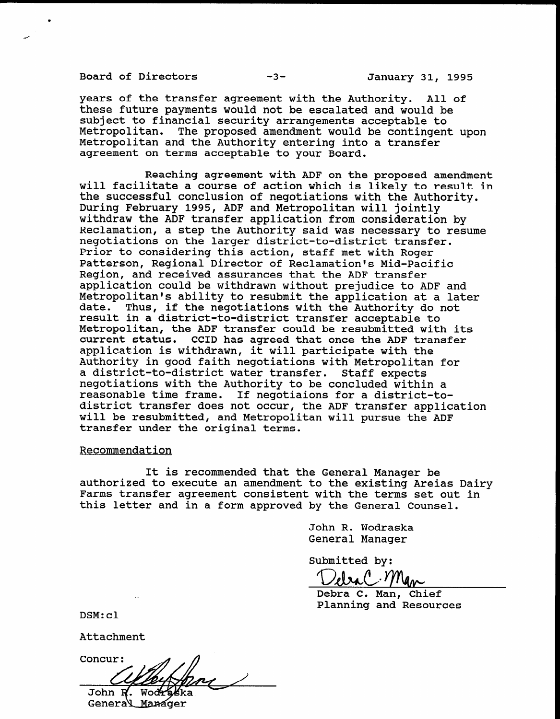Board of Directors -3- January 31, 1995

.

years of the transfer agreement with the Authority. All of these future payments would not be escalated and would be subject to financial security arrangements acceptable to Metropolitan. The proposed amendment would be contingent upon Metropolitan and the Authority entering into a transfer agreement on terms acceptable to your Board.

Reaching agreement with ADF on the proposed amendment will facilitate a course of action which is likely to result in the successful conclusion of negotiations with the Authority. During February 1995, ADF and Metropolitan will jointly withdraw the ADF transfer application from consideration by Reclamation, a step the Authority said was necessary to resume negotiations on the larger district-to-district transfer. Prior to considering this action, staff met with Roger Patterson, Regional Director of Reclamation's Mid-Pacific Region, and received assurances that the ADF transfer application could be withdrawn without prejudice to ADF and Metropolitan's ability to resubmit the application at a later date. Thus, if the negotiations with the Authority do not result in a district-to-district transfer acceptable to result in a district-to-district transfer acceptable to<br>Metropolitan, the ADF transfer could be resubmitted with its current status. CCID has agreed that once the ADF transfer current status. CCID has agreed that once the ADP the<br>application is withdrawn, it will participate with the Authority in good faith negotiations with Metropolitan for Authority in good faith negotiations with Metropolitan for<br>a district-to-district water transfer. Staff expects d uistrict-to-district water transier. Stall expects<br>regationisms with the Authority to be concluded within a regotiations with the Authority to be concidued with district-to-<br>district transfer does not occur, the ADF transfer application uistrict transier does not occur, the ADF transier applica<br>will be resubmitted, and Metropolitan will pursue the ADF will be resubmitted, and Metropolitan will pursue the ADF<br>transfer under the original terms.

## Recommendation

It is recommended that the General Manager be authorized to the General Manager be the state and an american americas Dairy Areias Dairy Areias Dairy Areias authorized to execute an amendment to the existing Areias Dairy Farms transfer agreement consistent with the terms set out in this letter and in a form approved by the General Counsel.

> John R. Wodraska John R. Wodrask

Submitted by:

 $T$ 

Debra C. Man, Chief<br>Planning and Resources

Concur:

John R. Wod General Manager